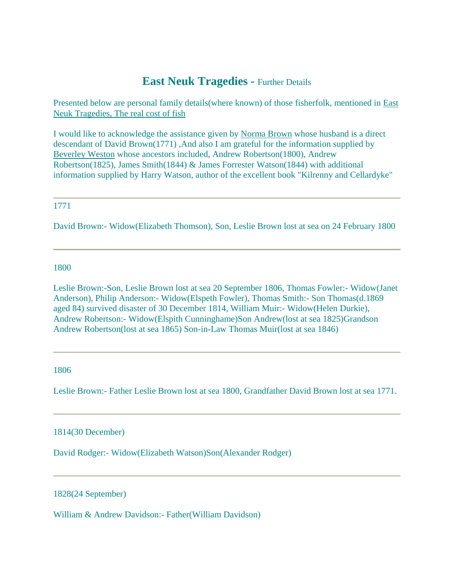# **East Neuk Tragedies -** Further Details

Presented below are personal family details(where known) of those fisherfolk, mentioned in [East](http://fifefhs.org/Records/eastneukfish.htm)  [Neuk Tragedies, The real cost of fish](http://fifefhs.org/Records/eastneukfish.htm)

I would like to acknowledge the assistance given by [Norma Brown](mailto:browndm@magi.com) whose husband is a direct descendant of David Brown(1771) ,And also I am grateful for the information supplied by [Beverley Weston](mailto:beverley@mackay.net.au) whose ancestors included, Andrew Robertson(1800), Andrew Robertson(1825), James Smith(1844) & James Forrester Watson(1844) with additional information supplied by Harry Watson, author of the excellent book "Kilrenny and Cellardyke"

## 1771

David Brown:- Widow(Elizabeth Thomson), Son, Leslie Brown lost at sea on 24 February 1800

1800

Leslie Brown:-Son, Leslie Brown lost at sea 20 September 1806, Thomas Fowler:- Widow(Janet Anderson), Philip Anderson:- Widow(Elspeth Fowler), Thomas Smith:- Son Thomas(d.1869 aged 84) survived disaster of 30 December 1814, William Muir:- Widow(Helen Durkie), Andrew Robertson:- Widow(Elspith Cunninghame)Son Andrew(lost at sea 1825)Grandson Andrew Robertson(lost at sea 1865) Son-in-Law Thomas Muir(lost at sea 1846)

1806

Leslie Brown:- Father Leslie Brown lost at sea 1800, Grandfather David Brown lost at sea 1771.

1814(30 December)

David Rodger:- Widow(Elizabeth Watson)Son(Alexander Rodger)

1828(24 September)

William & Andrew Davidson:- Father(William Davidson)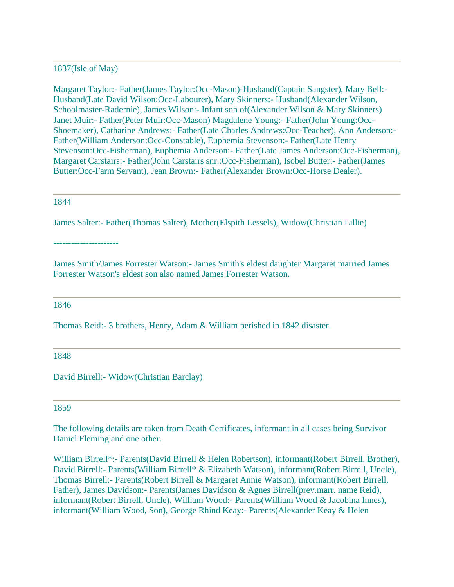### 1837(Isle of May)

Margaret Taylor:- Father(James Taylor:Occ-Mason)-Husband(Captain Sangster), Mary Bell:- Husband(Late David Wilson:Occ-Labourer), Mary Skinners:- Husband(Alexander Wilson, Schoolmaster-Radernie), James Wilson:- Infant son of(Alexander Wilson & Mary Skinners) Janet Muir:- Father(Peter Muir:Occ-Mason) Magdalene Young:- Father(John Young:Occ-Shoemaker), Catharine Andrews:- Father(Late Charles Andrews:Occ-Teacher), Ann Anderson:- Father(William Anderson:Occ-Constable), Euphemia Stevenson:- Father(Late Henry Stevenson:Occ-Fisherman), Euphemia Anderson:- Father(Late James Anderson:Occ-Fisherman), Margaret Carstairs:- Father(John Carstairs snr.:Occ-Fisherman), Isobel Butter:- Father(James Butter:Occ-Farm Servant), Jean Brown:- Father(Alexander Brown:Occ-Horse Dealer).

#### 1844

James Salter:- Father(Thomas Salter), Mother(Elspith Lessels), Widow(Christian Lillie)

----------------------

James Smith/James Forrester Watson:- James Smith's eldest daughter Margaret married James Forrester Watson's eldest son also named James Forrester Watson.

#### 1846

Thomas Reid:- 3 brothers, Henry, Adam & William perished in 1842 disaster.

1848

David Birrell:- Widow(Christian Barclay)

#### 1859

The following details are taken from Death Certificates, informant in all cases being Survivor Daniel Fleming and one other.

William Birrell\*:- Parents(David Birrell & Helen Robertson), informant(Robert Birrell, Brother), David Birrell:- Parents(William Birrell\* & Elizabeth Watson), informant(Robert Birrell, Uncle), Thomas Birrell:- Parents(Robert Birrell & Margaret Annie Watson), informant(Robert Birrell, Father), James Davidson:- Parents(James Davidson & Agnes Birrell(prev.marr. name Reid), informant(Robert Birrell, Uncle), William Wood:- Parents(William Wood & Jacobina Innes), informant(William Wood, Son), George Rhind Keay:- Parents(Alexander Keay & Helen